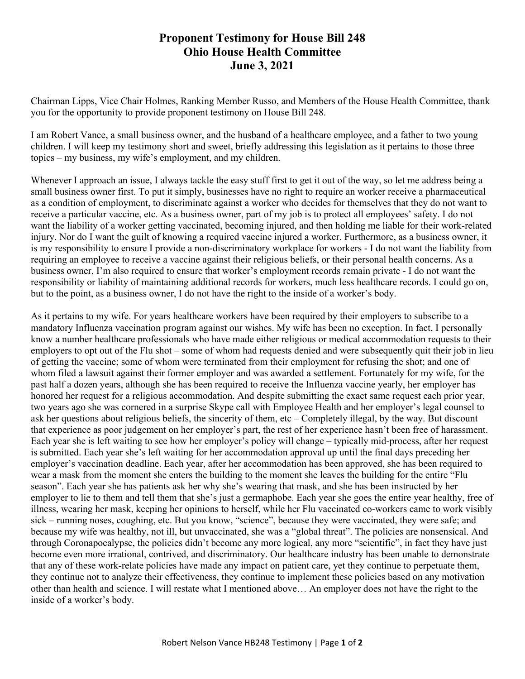## **Proponent Testimony for House Bill 248 Ohio House Health Committee June 3, 2021**

Chairman Lipps, Vice Chair Holmes, Ranking Member Russo, and Members of the House Health Committee, thank you for the opportunity to provide proponent testimony on House Bill 248.

I am Robert Vance, a small business owner, and the husband of a healthcare employee, and a father to two young children. I will keep my testimony short and sweet, briefly addressing this legislation as it pertains to those three topics – my business, my wife's employment, and my children.

Whenever I approach an issue, I always tackle the easy stuff first to get it out of the way, so let me address being a small business owner first. To put it simply, businesses have no right to require an worker receive a pharmaceutical as a condition of employment, to discriminate against a worker who decides for themselves that they do not want to receive a particular vaccine, etc. As a business owner, part of my job is to protect all employees' safety. I do not want the liability of a worker getting vaccinated, becoming injured, and then holding me liable for their work-related injury. Nor do I want the guilt of knowing a required vaccine injured a worker. Furthermore, as a business owner, it is my responsibility to ensure I provide a non-discriminatory workplace for workers - I do not want the liability from requiring an employee to receive a vaccine against their religious beliefs, or their personal health concerns. As a business owner, I'm also required to ensure that worker's employment records remain private - I do not want the responsibility or liability of maintaining additional records for workers, much less healthcare records. I could go on, but to the point, as a business owner, I do not have the right to the inside of a worker's body.

As it pertains to my wife. For years healthcare workers have been required by their employers to subscribe to a mandatory Influenza vaccination program against our wishes. My wife has been no exception. In fact, I personally know a number healthcare professionals who have made either religious or medical accommodation requests to their employers to opt out of the Flu shot – some of whom had requests denied and were subsequently quit their job in lieu of getting the vaccine; some of whom were terminated from their employment for refusing the shot; and one of whom filed a lawsuit against their former employer and was awarded a settlement. Fortunately for my wife, for the past half a dozen years, although she has been required to receive the Influenza vaccine yearly, her employer has honored her request for a religious accommodation. And despite submitting the exact same request each prior year, two years ago she was cornered in a surprise Skype call with Employee Health and her employer's legal counsel to ask her questions about religious beliefs, the sincerity of them, etc – Completely illegal, by the way. But discount that experience as poor judgement on her employer's part, the rest of her experience hasn't been free of harassment. Each year she is left waiting to see how her employer's policy will change – typically mid-process, after her request is submitted. Each year she's left waiting for her accommodation approval up until the final days preceding her employer's vaccination deadline. Each year, after her accommodation has been approved, she has been required to wear a mask from the moment she enters the building to the moment she leaves the building for the entire "Flu season". Each year she has patients ask her why she's wearing that mask, and she has been instructed by her employer to lie to them and tell them that she's just a germaphobe. Each year she goes the entire year healthy, free of illness, wearing her mask, keeping her opinions to herself, while her Flu vaccinated co-workers came to work visibly sick – running noses, coughing, etc. But you know, "science", because they were vaccinated, they were safe; and because my wife was healthy, not ill, but unvaccinated, she was a "global threat". The policies are nonsensical. And through Coronapocalypse, the policies didn't become any more logical, any more "scientific", in fact they have just become even more irrational, contrived, and discriminatory. Our healthcare industry has been unable to demonstrate that any of these work-relate policies have made any impact on patient care, yet they continue to perpetuate them, they continue not to analyze their effectiveness, they continue to implement these policies based on any motivation other than health and science. I will restate what I mentioned above… An employer does not have the right to the inside of a worker's body.